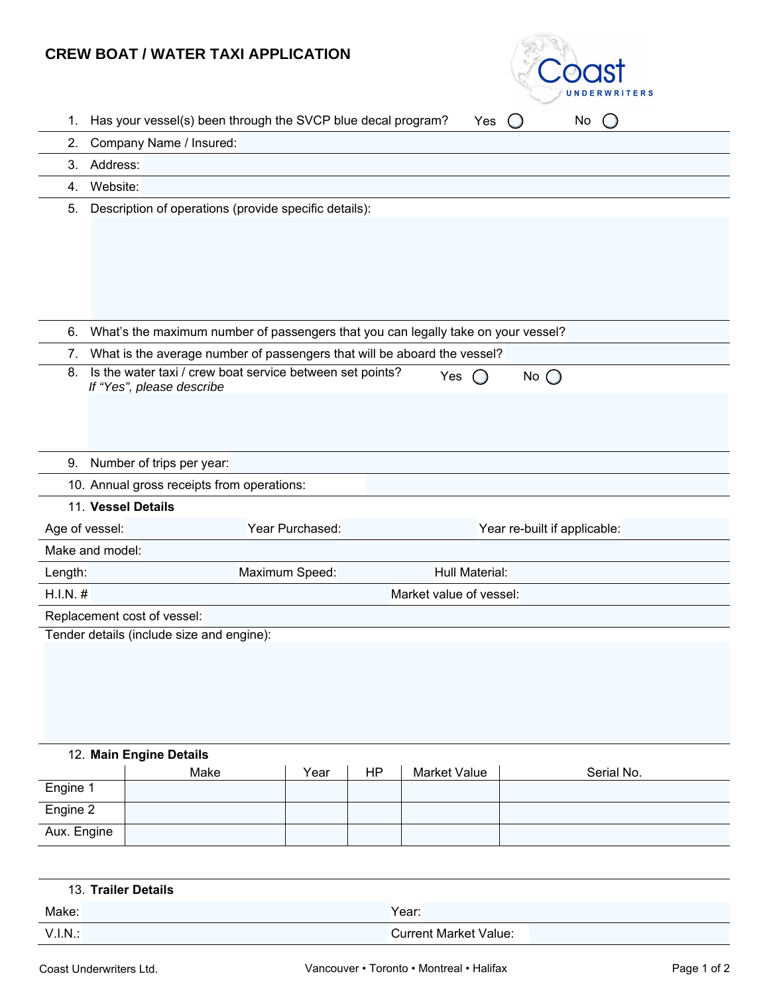## **CREW BOAT / WATER TAXI APPLICATION**



| Has your vessel(s) been through the SVCP blue decal program?<br>No<br>1.<br>Yes                                      |  |  |  |  |  |
|----------------------------------------------------------------------------------------------------------------------|--|--|--|--|--|
| Company Name / Insured:<br>2.                                                                                        |  |  |  |  |  |
| Address:<br>3.                                                                                                       |  |  |  |  |  |
| Website:<br>4.                                                                                                       |  |  |  |  |  |
| Description of operations (provide specific details):<br>5.                                                          |  |  |  |  |  |
|                                                                                                                      |  |  |  |  |  |
|                                                                                                                      |  |  |  |  |  |
|                                                                                                                      |  |  |  |  |  |
|                                                                                                                      |  |  |  |  |  |
|                                                                                                                      |  |  |  |  |  |
| What's the maximum number of passengers that you can legally take on your vessel?<br>6.                              |  |  |  |  |  |
| What is the average number of passengers that will be aboard the vessel?<br>7.                                       |  |  |  |  |  |
| Is the water taxi / crew boat service between set points?<br>8.<br>Yes<br>No $\bigcirc$<br>If "Yes", please describe |  |  |  |  |  |
|                                                                                                                      |  |  |  |  |  |
|                                                                                                                      |  |  |  |  |  |
|                                                                                                                      |  |  |  |  |  |
| Number of trips per year:<br>9.                                                                                      |  |  |  |  |  |
| 10. Annual gross receipts from operations:                                                                           |  |  |  |  |  |
| 11. Vessel Details                                                                                                   |  |  |  |  |  |
| Age of vessel:<br>Year Purchased:<br>Year re-built if applicable:                                                    |  |  |  |  |  |
| Make and model:                                                                                                      |  |  |  |  |  |
| Hull Material:<br>Maximum Speed:<br>Length:                                                                          |  |  |  |  |  |
| H.I.N. #<br>Market value of vessel:                                                                                  |  |  |  |  |  |
| Replacement cost of vessel:                                                                                          |  |  |  |  |  |
| Tender details (include size and engine):                                                                            |  |  |  |  |  |
|                                                                                                                      |  |  |  |  |  |

## 12. **Main Engine Details**

|             | Make | Year | ΗP | Market Value | Serial No. |
|-------------|------|------|----|--------------|------------|
| Engine 1    |      |      |    |              |            |
| Engine 2    |      |      |    |              |            |
| Aux. Engine |      |      |    |              |            |

| 13. Trailer Details |                              |
|---------------------|------------------------------|
| Make:               | Year:                        |
| V.I.N.              | <b>Current Market Value:</b> |